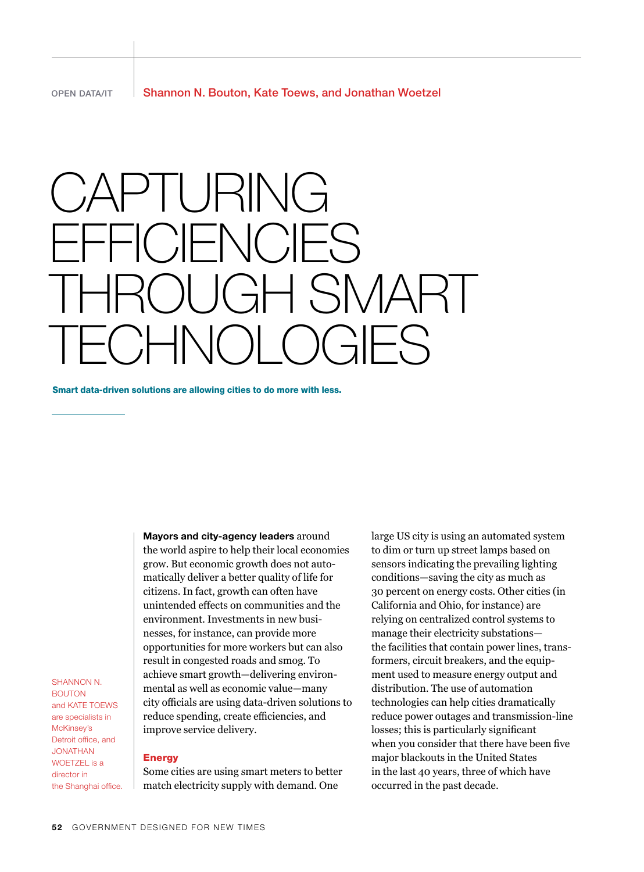# **CAPTURING**  $-$ i $($  ) $|-N$ i $($  ) $|-S$  $\mathsf{NAR}$  .  $\exists \vdash \mathcal{S}$

Smart data-driven solutions are allowing cities to do more with less.

Mayors and city-agency leaders around the world aspire to help their local economies grow. But economic growth does not automatically deliver a better quality of life for citizens. In fact, growth can often have unintended effects on communities and the environment. Investments in new businesses, for instance, can provide more opportunities for more workers but can also result in congested roads and smog. To achieve smart growth—delivering environmental as well as economic value—many city officials are using data-driven solutions to reduce spending, create efficiencies, and improve service delivery.

SHANNON N. **BOLITON** and KATE TOEWS are specialists in McKinsey's Detroit office, and Jonathan WOFTZEL is a director in the Shanghai office.

# Energy

Some cities are using smart meters to better match electricity supply with demand. One

large US city is using an automated system to dim or turn up street lamps based on sensors indicating the prevailing lighting conditions—saving the city as much as 30 percent on energy costs. Other cities (in California and Ohio, for instance) are relying on centralized control systems to manage their electricity substations the facilities that contain power lines, transformers, circuit breakers, and the equipment used to measure energy output and distribution. The use of automation technologies can help cities dramatically reduce power outages and transmission-line losses; this is particularly significant when you consider that there have been five major blackouts in the United States in the last 40 years, three of which have occurred in the past decade.